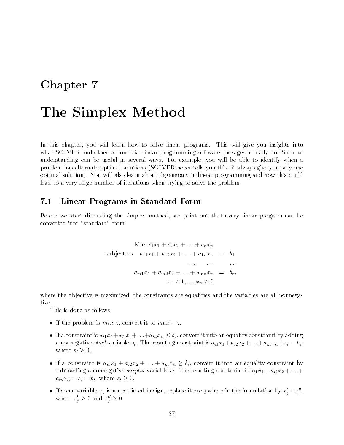## Chapter 7

# The Simplex Method

In this chapter, you will learn how to solve linear programs. This will give you insights into what SOLVER and other commercial linear programming software packages actually do. Such an understanding can be useful in several ways. For example, you will be able to identify when a problem has alternate optimal solutions (SOLVER never tells you this: it always give you only one optimal solution). You will also learn about degeneracy in linear programming and how this could lead to a very large number of iterations when trying to solve the problem.

### 7.1 Linear Programs in Standard Form

Before we start discussing the simplex method, we point out that every linear program can be converted into "standard" form

$$
\begin{aligned}\n\text{Max } c_1 x_1 + c_2 x_2 + \ldots + c_n x_n \\
\text{subject to} \quad a_{11} x_1 + a_{12} x_2 + \ldots + a_{1n} x_n &= b_1 \\
&\vdots \\
a_{m1} x_1 + a_{m2} x_2 + \ldots + a_{mn} x_n &= b_m \\
&x_1 \ge 0, \ldots x_n \ge 0\n\end{aligned}
$$

where the objective is maximized, the constraints are equalities and the variables are all nonnegative.

- If the problem is *min* z, convert it to  $max -z$ .
- If a constraint is  $a_{i1}x_1+a_{i2}x_2+\ldots+a_{in}x_n \leq b_i$ , convert it into an equality constraint by adding a nonnegative slack variable  $s_i$ . The resulting constraint is  $a_{i1}x_1 + a_{i2}x_2 + \ldots + a_{in}x_n + s_i = b_i$ , where  $s_i \geq 0$ .
- If a constraint is  $a_{i1}x_1 + a_{i2}x_2 + \ldots + a_{in}x_n \ge b_i$ , convert it into an equality constraint by subtracting a nonnegative surplus variable  $s_i$ . The resulting constraint is  $a_{i1}x_1 + a_{i2}x_2 + \ldots$  $a_{in}x_n - s_i = b_i$ , where  $s_i \geq 0$ .
- $\bullet$  If some variable  $x_j$  is unrestricted in sign, replace it everywhere in the formulation by  $x_j x_j,$ where  $x'_j \geq 0$  and  $x''_j \geq 0$ .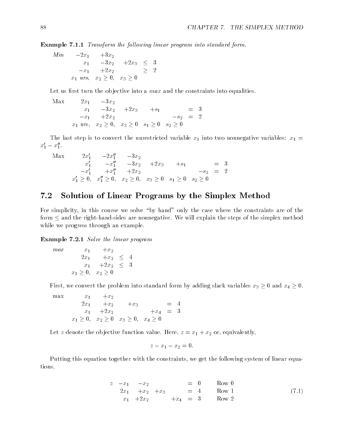Example 7.1.1 Transform the following linear program into standard form.

Min 2x1 +3x2 x1 3x2 +2x3 <sup>3</sup> x1 +2x2 <sup>2</sup>  $x$  in the state  $\alpha$  of  $\alpha$  or  $\alpha$  or  $\alpha$  . The state  $\alpha$ 

Let us first turn the objective into a  $max$  and the constraints into equalities.

$$
\begin{array}{cccc}\n\text{Max} & 2x_1 & -3x_2 \\
x_1 & -3x_2 & +2x_3 & +s_1 & = 3 \\
-x_1 & +2x_2 & & -s_2 & = 2 \\
x_1 \text{ urs, } x_2 \ge 0, \ x_3 \ge 0 \quad s_1 \ge 0 \quad s_2 \ge 0\n\end{array}
$$

The last step is to convert the unrestricted variable  $x_1$  into two nonnegative variables:  $x_1 =$  $x_1' - x_1''$ .

 $\text{max}$   $2x_1$   $-2x_1$   $-3x_2$  $x_1$   $-x_1$   $-x_2$   $+x_3$   $+x_1$   $= 3$  $-x_1$   $+x_1$   $+x_2$   $-s_2$   $=$  2  $x_1 \geq 0, \quad x_1 \geq 0, \quad x_2 \geq 0, \quad x_3 \geq 0 \quad s_1 \geq 0 \quad s_2 \geq 0$ 

## 7.2 Solution of Linear Programs by the Simplex Method

For simplicity, in this course we solve "by hand" only the case where the constraints are of the form  $\leq$  and the right-hand-sides are nonnegative. We will explain the steps of the simplex method while we progress through an example.

Example 7.2.1 Solve the linear program

max x1 +x2 ——————————————————— x1 +2x2 <sup>3</sup>  $x_1 = x_1 - x_2 = x_1$ 

First, we convert the problem into standard form by adding slack variables  $x_3 \geq 0$  and  $x_4 \geq 0$ .

max x1 +x2 2x1 +x2 +x3 <sup>=</sup> <sup>4</sup> x1 +2x2 +x4 <sup>=</sup> <sup>3</sup>  $x + 1 = 0$ ;  $x + 2 = 0$ ;  $x + 3 = 0$ ; x4  $x = 0$ ; x

Let z denote the objective function value. Here,  $z = x_1 + x_2$  or, equivalently,

$$
z - x_1 - x_2 = 0.
$$

Putting this equation together with the constraints, we get the following system of linear equations.

$$
z - x_1 - x_2 = 0 \t Row 0
$$
  
\n
$$
2x_1 + x_2 + x_3 = 4 \t Row 1
$$
  
\n
$$
x_1 + 2x_2 + x_3 = 3 \t Row 2
$$
\n(7.1)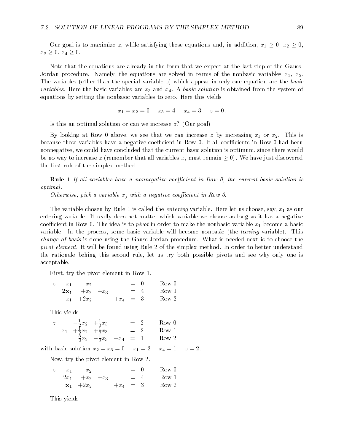Our goal is to maximize  $z,$  while satisfying these equations and, in addition,  $x_1 \geq 0,$   $x_2 \geq 0,$  $x_3 \geq 0, x_4 \geq 0.$ 

Note that the equations are already in the form that we expect at the last step of the Gauss-Jordan procedure. Namely, the equations are solved in terms of the nonbasic variables  $x_1, x_2$ . The variables (other than the special variable  $z$ ) which appear in only one equation are the basic variables. Here the basic variables are  $x_3$  and  $x_4$ . A basic solution is obtained from the system of equations by setting the nonbasic variables to zero. Here this yields

 $x_1 = x_2 = 0$   $x_3 = 4$   $x_4 = 3$   $z = 0$ .

Is this an optimal solution or can we increase z? (Our goal)

By looking at Row 0 above, we see that we can increase  $z$  by increasing  $x_1$  or  $x_2$ . This is because these variables have a negative coefficient in Row 0. If all coefficients in Row 0 had been nonnegative, we could have concluded that the current basic solution is optimum, since there would be no way to increase z (remember that all variables  $x_i$  must remain  $\geq 0$ ). We have just discovered the first rule of the simplex method.

**Rule 1** If all variables have a nonnegative coefficient in Row 0, the current basic solution is optimal.

Otherwise, pick a variable  $x_i$  with a negative coefficient in Row 0.

The variable chosen by Rule 1 is called the *entering* variable. Here let us choose, say,  $x_1$  as our entering variable. It really does not matter which variable we choose as long as it has a negative coefficient in Row 0. The idea is to *pivot* in order to make the nonbasic variable  $x_1$  become a basic variable. In the process, some basic variable will become nonbasic (the leaving variable). This change of basis is done using the Gauss-Jordan procedure. What is needed next is to choose the pivot element. It will be found using Rule 2 of the simplex method. In order to better understand the rationale behing this second rule, let us try both possible pivots and see why only one is acceptable.

First, try the pivot element in Row 1.

|  | $z - x_1 - x_2$    |  |  | $= 0$ Row 0      |
|--|--------------------|--|--|------------------|
|  | $2x_1 + x_2 + x_3$ |  |  | $= 4$ Row 1      |
|  | $x_1 + 2x_2$       |  |  | $+x_4 = 3$ Row 2 |

This yields

|  | $-\frac{1}{2}x_2 + \frac{1}{3}x_3$      |                                             | $= 2$ | - Row 0 |
|--|-----------------------------------------|---------------------------------------------|-------|---------|
|  | $x_1 + \frac{1}{2}x_2 + \frac{1}{2}x_3$ |                                             | $=$ 2 | Row 1   |
|  |                                         | $\frac{3}{2}x_2 - \frac{1}{2}x_3 + x_4 = 1$ |       | Row 2   |

with basic solution  $x_2 = x_3 = 0$   $x_1 = 2$   $x_4 = 1$   $z = 2$ .

Now, try the pivot element in Row 2.

|  | $z = x_1 - x_2$         |  |  | $= 0$ Row 0      |
|--|-------------------------|--|--|------------------|
|  | $2x_1 + x_2 + x_3$      |  |  | $= 4$ Row 1      |
|  | $\mathbf{x_1}$ +2 $x_2$ |  |  | $+x_4 = 3$ Row 2 |

This yields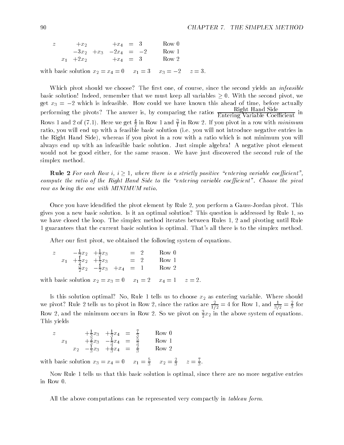| $\overline{z}$ |              | $+x_2$ | $+x_4 = 3$               |  | Row 0 |
|----------------|--------------|--------|--------------------------|--|-------|
|                |              |        | $-3x_2 + x_3 -2x_4 = -2$ |  | Row 1 |
|                | $x_1 + 2x_2$ |        | $+x_4 = 3$               |  | Row 2 |

with basic solution  $x_2 = x_4 = 0$   $x_1 = 3$   $x_3 = -2$   $z = 3$ .

Which pivot should we choose? The first one, of course, since the second yields an infeasible basic solution! Indeed, remember that we must keep all variables  $\geq 0$ . With the second pivot, we get  $x_3 = -2$  which is infeasible. How could we have known this ahead of time, before actually performing the pivots? The answer is, by comparing the ratios  $\frac{1}{\text{Entering Variable Coefficient}}$  in Rows 1 and 2 of (7.1). Here we get  $\frac{2}{5}$  in Row 1 and  $\frac{2}{7}$  in Row 2. If you pivot in a row with *minimum* ratio, you will end up with a feasible basic solution (i.e. you will not introduce negative entries in the Right Hand Side), whereas if you pivot in a row with a ratio which is not minimum you will always end up with an infeasible basic solution. Just simple algebra! A negative pivot element would not be good either, for the same reason. We have just discovered the second rule of the simplex method.

**Rule 2** For each Row i,  $i > 1$ , where there is a strictly positive "entering variable coefficient". compute the ratio of the Right Hand Side to the "entering variable coefficient". Choose the pivot row as being the one with MINIMUM ratio.

Once you have idendied the pivot element by Rule 2, you perform a Gauss-Jordan pivot. This gives you a new basic solution. Is it an optimal solution? This question is addressed by Rule 1, so we have closed the loop. The simplex method iterates between Rules 1, 2 and pivoting until Rule 1 guarantees that the current basic solution is optimal. That's all there is to the simplex method.

After our first pivot, we obtained the following system of equations.

| $\overline{z}$ | $-\frac{1}{2}x_2 + \frac{1}{3}x_3$      |                                             | $=$ 2 | Row 0 |
|----------------|-----------------------------------------|---------------------------------------------|-------|-------|
|                | $x_1 + \frac{1}{2}x_2 + \frac{1}{2}x_3$ |                                             | $=$ 2 | Row 1 |
|                |                                         | $\frac{3}{2}x_2 - \frac{1}{2}x_3 + x_4 = 1$ |       | Row 2 |

with basic solution  $x_2 = x_3 = 0$   $x_1 = 2$   $x_4 = 1$   $z = 2$ .

Is this solution optimal? No, Rule 1 tells us to choose  $x_2$  as entering variable. Where should we pivot? Kule 2 tells us to pivot in Row 2, since the ratios are  $\frac{1}{1/2} = 4$  for Row 1, and  $\frac{1}{3/2} = \frac{1}{3}$  for Row 2, and the minimum occurs in Row 2. So we pivot on  $\frac{1}{2}x_2$  in the above system of equations. This yields

z 
$$
+\frac{1}{3}x_3 + \frac{1}{3}x_4 = \frac{7}{3}
$$
 Row 0  
\nx<sub>1</sub>  $+\frac{2}{3}x_3 - \frac{1}{3}x_4 = \frac{5}{3}$  Row 1  
\nx<sub>2</sub>  $-\frac{1}{3}x_3 + \frac{2}{3}x_4 = \frac{2}{3}$  Row 2

With basic solution  $x_3 = x_4 = 0$   $x_1 = \frac{1}{3}$   $x_2 = \frac{1}{3}$   $z = \frac{1}{3}$ . **33 Million Street Street Street Street Street Street Street Street Street Street Street Street Street Street** 

Now Rule 1 tells us that this basic solution is optimal, since there are no more negative entries in Row 0.

All the above computations can be represented very compactly in *tableau form*.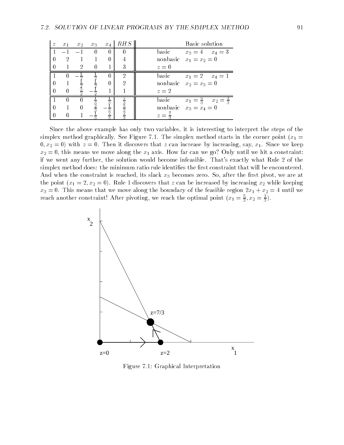| $\widetilde{\mathcal{Z}}$ | $x_1$          | $x_2$          | $x_3$    | $x_4$       | RHS           | Basic solution                                   |
|---------------------------|----------------|----------------|----------|-------------|---------------|--------------------------------------------------|
|                           | $-1$           | $-1$           | $\theta$ | $\Omega$    | $\Box$        | basic<br>$x_3 = 4$ $x_4 = 3$                     |
| $\theta$                  | $\overline{2}$ |                |          | 0           |               | nonbasic $x_1 = x_2 = 0$                         |
| $\theta$                  |                | $\overline{2}$ | $\theta$ |             | 3             | $z=0$                                            |
|                           |                |                |          |             | 2             | basic<br>$x_1 = 2$ $x_4 = 1$                     |
| $\Omega$                  |                |                |          | 0           | 2             | nonbasic $x_2 = x_3 = 0$                         |
| $\Omega$                  |                |                |          |             |               | $z=2$                                            |
|                           |                |                |          |             |               | basic<br>$x_1 = \frac{5}{3}$ $x_2 = \frac{2}{3}$ |
| $\theta$                  |                |                |          |             | $\frac{3}{5}$ | nonbasic $x_3 = x_4 = 0$                         |
| $\theta$                  |                |                |          | $rac{3}{3}$ | 5             | $z =$                                            |

Since the above example has only two variables, it is interesting to interpret the steps of the simplex method graphically. See Figure 7.1. The simplex method starts in the corner point ( $x_1 =$  $0, x_2 = 0$ ) with  $z = 0$ . Then it discovers that z can increase by increasing, say,  $x_1$ . Since we keep  $x_2 = 0$ , this means we move along the  $x_1$  axis. How far can we go? Only until we hit a constraint: if we went any further, the solution would become infeasible. That's exactly what Rule 2 of the simplex method does: the minimum ratio rule identifies the first constraint that will be encountered. And when the constraint is reached, its slack  $x_3$  becomes zero. So, after the first pivot, we are at the point  $(x_1 = 2, x_2 = 0)$ . Rule 1 discovers that z can be increased by increasing  $x_2$  while keeping  $x_3 = 0$ . This means that we move along the boundary of the feasible region  $2x_1 + x_2 = 4$  until we reach another constraint: After pivoting, we reach the optimal point  $(x_1 = \frac{1}{2}, x_2 = \frac{1}{2})$ .



Figure 7.1: Graphical Interpretation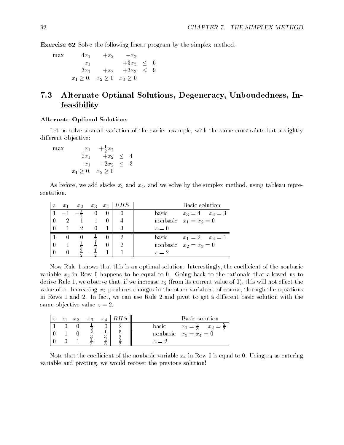Exercise 62 Solve the following linear program by the simplex method.

max 4x1 +x2 x3 x3 x1 +3x3 <sup>6</sup> 3x1 +x2 +3x3 <sup>9</sup>  $x - 1 = 0, \quad x - 2 = 0, \quad x - 3 = 0, \quad x - 4 = 0, \quad x - 5 = 0, \quad x - 6 = 0, \quad x - 3 = 0, \quad x - 4 = 0, \quad x - 5 = 0, \quad x - 6 = 0, \quad x - 3 = 0, \quad x - 4 = 0, \quad x - 5 = 0, \quad x - 6 = 0, \quad x - 6 = 0, \quad x - 6 = 0, \quad x - 6 = 0, \quad x - 6 = 0, \quad x - 6 = 0, \quad x - 6 = 0, \quad x - 6 = 0, \quad x - 6 = 0, \quad$ 

## 7.3 Alternate Optimal Solutions, Degeneracy, Unboudedness, Infeasibility

#### Alternate Optimal Solutions

Let us solve a small variation of the earlier example, with the same constraints but a slightly different objective:

 $\max$   $x_1$   $+\frac{1}{2}x_2$ ——————————————————— x1 +2x2 <sup>3</sup> \* 1 = \* 1 \* 2 = \* \*

As before, we add slacks  $x_3$  and  $x_4$ , and we solve by the simplex method, using tableau representation.

| $\widetilde{z}$ | $x_1$          | $x_2$ |  | $x_3$ $x_4$   $RHS$ | Basic solution               |
|-----------------|----------------|-------|--|---------------------|------------------------------|
|                 |                |       |  |                     | basic<br>$x_3 = 4$ $x_4 = 3$ |
|                 | $\overline{2}$ |       |  |                     | nonbasic $x_1 = x_2 = 0$     |
|                 |                | 2     |  | 3                   | $z=0$                        |
|                 |                |       |  |                     | basic<br>$x_1 = 2$ $x_4 = 1$ |
|                 |                |       |  |                     | nonbasic $x_2 = x_3 = 0$     |
|                 |                |       |  |                     | $z=2$                        |

Now Rule 1 shows that this is an optimal solution. Interestingly, the coefficient of the nonbasic variable  $x_2$  in Row 0 happens to be equal to 0. Going back to the rationale that allowed us to derive Rule 1, we observe that, if we increase  $x_2$  (from its current value of 0), this will not effect the value of z. Increasing  $x_2$  produces changes in the other variables, of course, through the equations in Rows 1 and 2. In fact, we can use Rule 2 and pivot to get a different basic solution with the same objective value  $z = 2$ .

|  | $x_{2}$ | $x_3$ | $x_4$   $RHS$ | Basic solution                                   |
|--|---------|-------|---------------|--------------------------------------------------|
|  |         |       |               | basic<br>$x_1 = \frac{5}{3}$ $x_2 = \frac{2}{3}$ |
|  |         |       |               | nonbasic $x_3 = x_4 = 0$                         |
|  |         |       |               | $z = 2$                                          |

Note that the coefficient of the nonbasic variable  $x_4$  in Row 0 is equal to 0. Using  $x_4$  as entering variable and pivoting, we would recover the previous solution!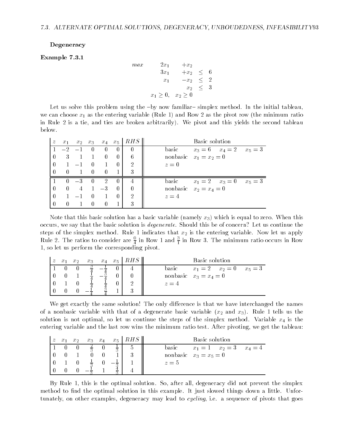#### Degeneracy

#### Example 7.3.1

$$
max \n\begin{array}{rcl}\n & 2x_1 & +x_2 \\
 & & 3x_1 & +x_2 \\
 & & & x_1 & -x_2 \\
 & & & x_2 & \le 3\n\end{array}
$$
\n
$$
x_1 \ge 0, \quad x_2 \ge 0
$$

Let us solve this problem using the  $-by$  now familiar–simplex method. In the initial tableau, we can choose  $x_1$  as the entering variable (Rule 1) and Row 2 as the pivot row (the minimum ratio in Rule 2 is a tie, and ties are broken arbitrarily). We pivot and this yields the second tableau below.

| $\boldsymbol{z}$ | $x_1$    |      |                |                |          | $x_2$ $x_3$ $x_4$ $x_5$   $RHS$ | Basic solution                            |
|------------------|----------|------|----------------|----------------|----------|---------------------------------|-------------------------------------------|
|                  | $-2$     |      | $\overline{0}$ | $\theta$       | $\theta$ | $\left($                        | basic<br>$x_3 = 6$ $x_4 = 2$ $x_5 = 3$    |
| $\theta$         | 3        |      |                | $\overline{0}$ | $\theta$ | 6                               | nonbasic $x_1 = x_2 = 0$                  |
| $\bigcap$        |          | $-1$ | $\theta$       |                | $\Omega$ | 2                               | $z=0$                                     |
| $\Omega$         | $\Omega$ |      | $\Box$ 0       | $\theta$       |          | 3                               |                                           |
|                  | $\Omega$ | $-3$ | $\overline{0}$ | $\sim 2$       | $\theta$ | 4                               | basic<br>$x_1 = 2$ $x_3 = 0$<br>$x_5 = 3$ |
| $\bigcap$        | $\theta$ |      | $4 \quad 1$    | $-3$           | $\Omega$ | $\theta$                        | nonbasic $x_2 = x_4 = 0$                  |
| $\overline{0}$   |          | $-1$ | $\theta$       |                | $\Omega$ | 2                               | $z=4$                                     |
|                  | 0        |      | $\theta$       | $\theta$       |          | 3                               |                                           |

Note that this basic solution has a basic variable (namely  $x_3$ ) which is equal to zero. When this occurs, we say that the basic solution is degenerate. Should this be of concern? Let us continue the steps of the simplex method. Rule 1 indicates that  $x_2$  is the entering variable. Now let us apply Kule 2. The ratios to consider are  $\frac{1}{4}$  in Row 1 and  $\frac{1}{4}$  in Row 3. The minimum ratio occurs in Row  $\sim$  44  $\sim$  44  $\sim$ <u>1989 - John Stone Barnett, amerikansk politiker (</u> 1, so let us perform the corresponding pivot.

|  | $x_{2}$ | $x_{3}$ |  | $x_4$ $x_5$   $RHS$ | Basic solution                         |
|--|---------|---------|--|---------------------|----------------------------------------|
|  |         |         |  |                     | $x_1 = 2$ $x_2 = 0$ $x_5 = 3$<br>basic |
|  |         |         |  |                     | nonbasic $x_3 = x_4 = 0$               |
|  |         |         |  |                     | $z = 4$                                |
|  |         |         |  |                     |                                        |

We get exactly the same solution! The only difference is that we have interchanged the names of a nonbasic variable with that of a degenerate basic variable  $(x_2 \text{ and } x_3)$ . Rule 1 tells us the solution is not optimal, so let us continue the steps of the simplex method. Variable  $x_4$  is the entering variable and the last row wins the minimum ratio test. After pivoting, we get the tableau:

| $\overline{z}$ | $x_1$ | x <sub>2</sub> | $x_3$          | $x_{\rm A}$ |               | $x_5$   $RHS$ | Basic solution                          |
|----------------|-------|----------------|----------------|-------------|---------------|---------------|-----------------------------------------|
|                |       |                |                |             | $\frac{1}{2}$ |               | $x_1 = 1$ $x_2 = 3$<br>basic<br>$x_4=4$ |
|                |       |                |                |             |               |               | nonbasic $x_3 = x_5 = 0$                |
|                |       |                | $\overline{2}$ |             |               |               | $z=5$                                   |
|                |       |                |                |             | $\sim$        |               |                                         |

By Rule 1, this is the optimal solution. So, after all, degeneracy did not prevent the simplex method to find the optimal solution in this example. It just slowed things down a little. Unfortunately, on other examples, degeneracy may lead to *cycling*, i.e. a sequence of pivots that goes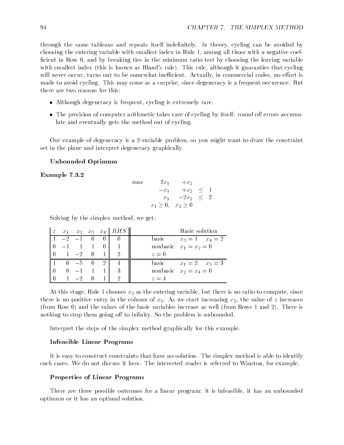through the same tableaus and repeats itself indefinitely. In theory, cycling can be avoided by choosing the entering variable with smallest index in Rule 1, among all those with a negative coef ficient in Row 0, and by breaking ties in the minimum ratio test by choosing the leaving variable with smallest index (this is known as Bland's rule). This rule, although it guaranties that cycling will never occur, turns out to be somewhat inefficient. Actually, in commercial codes, no effort is made to avoid cycling. This may come as a surprise, since degeneracy is a frequent occurence. But there are two reasons for this:

- Although degeneracy is frequent, cycling is extremely rare.
- $\bullet$  The precision of computer arithmetic takes care of cycling by itself: round off errors accumulate and eventually gets the method out of cycling.

Our example of degeneracy is a 2-variable problem, so you might want to draw the constraint set in the plane and interpret degeneracy graphically.

#### Unbounded Optimum

Example 7.3.2

| max | $2x_1$                         | $+x_2$  |        |  |
|-----|--------------------------------|---------|--------|--|
|     | $-x_1$                         | $+x_2$  | $\leq$ |  |
|     | $x_{1}$                        | $-2x_2$ | $\leq$ |  |
|     | $x_1 \geq 0, \quad x_2 \geq 0$ |         |        |  |

Solving by the simplex method, we get:

| $\boldsymbol{z}$ |         |         |                |          | $x_1$ $x_2$ $x_3$ $x_4$ RHS | Basic solution               |
|------------------|---------|---------|----------------|----------|-----------------------------|------------------------------|
|                  | $-2$    | $-1$    | $\overline{0}$ | $\Omega$ |                             | basic<br>$x_3 = 1$ $x_4 = 2$ |
|                  |         |         |                |          |                             | nonbasic $x_1 = x_2 = 0$     |
|                  | $1 -2$  |         | $\vert$        |          |                             | $z=0$                        |
|                  | $0 - 5$ |         | 0              | 2        |                             | basic<br>$x_1 = 2$ $x_3 = 3$ |
|                  |         | $0 -1$  |                |          |                             | nonbasic $x_2 = x_4 = 0$     |
|                  |         | $1 - 2$ | $\Box$         |          |                             | $z = 4$                      |

At this stage, Rule 1 chooses  $x_2$  as the entering variable, but there is no ratio to compute, since there is no positive entry in the column of  $x_2$ . As we start increasing  $x_2$ , the value of z increases (from Row 0) and the values of the basic variables increase as well (from Rows 1 and 2). There is nothing to stop them going off to infinity. So the problem is unbounded.

Interpret the steps of the simplex method graphically for this example.

#### Infeasible Linear Programs

It is easy to construct constraints that have no solution. The simplex method is able to identify such cases. We do not discuss it here. The interested reader is referred to Winston, for example.

#### Properties of Linear Programs

There are three possible outcomes for a linear program: it is infeasible, it has an unbounded optimum or it has an optimal solution.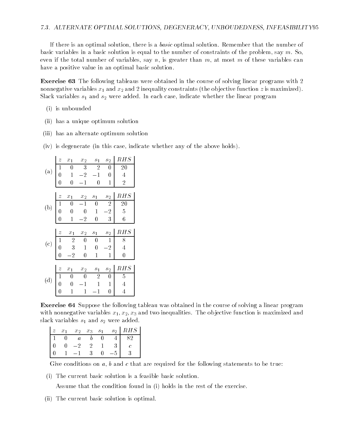If there is an optimal solution, there is a *basic* optimal solution. Remember that the number of basic variables in a basic solution is equal to the number of constraints of the problem, say  $m$ . So, even if the total number of variables, say n, is greater than  $m$ , at most  $m$  of these variables can have a positive value in an optimal basic solution.

Exercise 63 The following tableaus were obtained in the course of solving linear programs with 2 nonnegative variables  $x_1$  and  $x_2$  and 2 inequality constraints (the objective function z is maximized). Slack variables  $s_1$  and  $s_2$  were added. In each case, indicate whether the linear program

- (i) is unbounded
- (ii) has a unique optimum solution
- (iii) has an alternate optimum solution
- (iv) is degenerate (in this case, indicate whether any of the above holds).

|                            | $\boldsymbol{z}$ | $x_1$          | $x_2$            | $\sqrt{s_{1}}$ | $s_2$          | RHS            |
|----------------------------|------------------|----------------|------------------|----------------|----------------|----------------|
|                            | $\mathbf{1}$     | 0              | 3                | 2              | 0              | 20             |
| $\left( \mathrm{a}\right)$ | $\overline{0}$   | 1              | $\overline{2}$   | 1              | 0              | $\overline{4}$ |
|                            | 0                | $\overline{0}$ | 1                | 0              | 1              | $\overline{2}$ |
|                            |                  |                |                  |                |                |                |
|                            | $\boldsymbol{z}$ | $\bar{x}_1$    | $x_2$            | $\sqrt{s_{1}}$ | $s_2$          | RHS            |
| $\left( b\right)$          | $\mathbf 1$      | $\overline{0}$ | $^{-1}$          | $\bf{0}$       | $\overline{2}$ | 20             |
|                            | $\boldsymbol{0}$ | 0              | $\overline{0}$   | 1              | $-2$           | $\overline{5}$ |
|                            | 0                | 1              | $\overline{2}$   | $\overline{0}$ | 3              | 6              |
|                            |                  |                |                  |                |                |                |
|                            |                  |                |                  |                |                |                |
|                            | $\overline{z}$   | $x_1$          | $x_2$            | $\sqrt{s_{1}}$ | $\sqrt{s_{2}}$ | RHS            |
|                            | $\mathbf{1}$     | $\overline{2}$ | 0                | 0              | 1              | 8              |
| (c)                        | $\overline{0}$   | 3              | $\mathbf{1}$     | $\overline{0}$ | $-2$           | $\overline{4}$ |
|                            | 0                | $\overline{2}$ | $\boldsymbol{0}$ | $\mathbf{1}$   | 1              | $\overline{0}$ |
|                            |                  |                |                  |                |                |                |
|                            | $\overline{z}$   | $x_1$          | $x_2$            | $s_1$          | $s_{2}$        | RHS            |
|                            | $\mathbf{1}$     | 0              | $\overline{0}$   | $\overline{2}$ | 0              | 5              |
| (d)                        | 0                | 0              | 1                | 1              | $\mathbf{1}$   | $\overline{4}$ |

Exercise 64 Suppose the following tableau was obtained in the course of solving a linear program with nonnegative variables  $x_1, x_2, x_3$  and two inequalities. The objective function is maximized and slack variables  $s_1$  and  $s_2$  were added.

|  | $x_1 \quad x_2 \quad x_3 \quad s_1$ |  | $S_2$ | RHS |  |
|--|-------------------------------------|--|-------|-----|--|
|  |                                     |  |       |     |  |
|  | - 2                                 |  |       |     |  |
|  |                                     |  |       |     |  |

Give conditions on a, b and c that are required for the following statements to be true:

(i) The current basic solution is a feasible basic solution.

Assume that the condition found in (i) holds in the rest of the exercise.

(ii) The current basic solution is optimal.